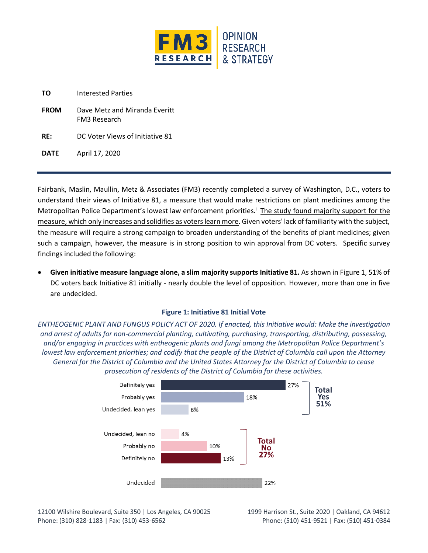

| TO. | <b>Interested Parties</b> |  |
|-----|---------------------------|--|
|     |                           |  |

| <b>FROM</b> | Dave Metz and Miranda Everitt |
|-------------|-------------------------------|
|             | <b>FM3 Research</b>           |

**RE:** DC Voter Views of Initiative 81

**DATE** April 17, 2020

Fairbank, Maslin, Maullin, Metz & Associates (FM3) recently completed a survey of Washington, D.C., voters to understand their views of Initiative 81, a measure that would make restrictions on plant medicines among the Metropolitan Police Department's lowest law enforcement priorities.<sup>i</sup> The study found majority support for the measure, which only increases and solidifies as voters learn more. Given voters' lack of familiarity with the subject, the measure will require a strong campaign to broaden understanding of the benefits of plant medicines; given such a campaign, however, the measure is in strong position to win approval from DC voters. Specific survey findings included the following:

• **Given initiative measure language alone, a slim majority supports Initiative 81.** As shown in Figure 1, 51% of DC voters back Initiative 81 initially - nearly double the level of opposition. However, more than one in five are undecided.

## **Figure 1: Initiative 81 Initial Vote**

*ENTHEOGENIC PLANT AND FUNGUS POLICY ACT OF 2020. If enacted, this Initiative would: Make the investigation and arrest of adults for non-commercial planting, cultivating, purchasing, transporting, distributing, possessing, and/or engaging in practices with entheogenic plants and fungi among the Metropolitan Police Department's lowest law enforcement priorities; and codify that the people of the District of Columbia call upon the Attorney General for the District of Columbia and the United States Attorney for the District of Columbia to cease prosecution of residents of the District of Columbia for these activities.*

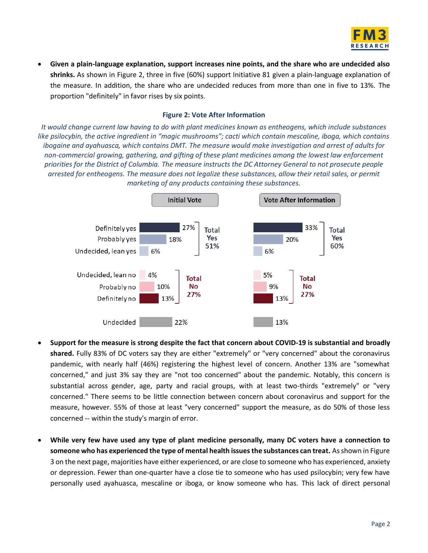

• **Given a plain-language explanation, support increases nine points, and the share who are undecided also shrinks.** As shown in Figure 2, three in five (60%) support Initiative 81 given a plain-language explanation of the measure. In addition, the share who are undecided reduces from more than one in five to 13%. The proportion "definitely" in favor rises by six points.

## **Figure 2: Vote After Information**

*It would change current law having to do with plant medicines known as entheogens, which include substances like psilocybin, the active ingredient in "magic mushrooms"; cacti which contain mescaline, iboga, which contains ibogaine and ayahuasca, which contains DMT. The measure would make investigation and arrest of adults for non-commercial growing, gathering, and gifting of these plant medicines among the lowest law enforcement priorities for the District of Columbia. The measure instructs the DC Attorney General to not prosecute people arrested for entheogens. The measure does not legalize these substances, allow their retail sales, or permit marketing of any products containing these substances.*



- **Support for the measure is strong despite the fact that concern about COVID-19 is substantial and broadly shared.** Fully 83% of DC voters say they are either "extremely" or "very concerned" about the coronavirus pandemic, with nearly half (46%) registering the highest level of concern. Another 13% are "somewhat concerned," and just 3% say they are "not too concerned" about the pandemic. Notably, this concern is substantial across gender, age, party and racial groups, with at least two-thirds "extremely" or "very concerned." There seems to be little connection between concern about coronavirus and support for the measure, however. 55% of those at least "very concerned" support the measure, as do 50% of those less concerned -- within the study's margin of error.
- **While very few have used any type of plant medicine personally, many DC voters have a connection to someone who has experienced the type of mental health issues the substances can treat.** As shown in Figure 3 on the next page, majorities have either experienced, or are close to someone who has experienced, anxiety or depression. Fewer than one-quarter have a close tie to someone who has used psilocybin; very few have personally used ayahuasca, mescaline or iboga, or know someone who has. This lack of direct personal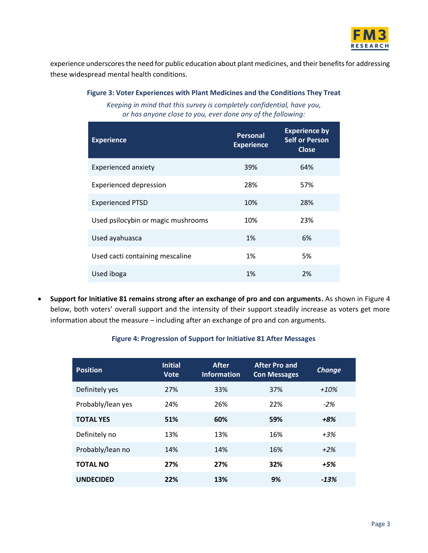

experience underscores the need for public education about plant medicines, and their benefits for addressing these widespread mental health conditions.

## **Figure 3: Voter Experiences with Plant Medicines and the Conditions They Treat**

*Keeping in mind that this survey is completely confidential, have you, or has anyone close to you, ever done any of the following:* 

| <b>Experience</b>                  | <b>Personal</b><br><b>Experience</b> | <b>Experience by</b><br><b>Self or Person</b><br><b>Close</b> |
|------------------------------------|--------------------------------------|---------------------------------------------------------------|
| <b>Experienced anxiety</b>         | 39%                                  | 64%                                                           |
| <b>Experienced depression</b>      | 28%                                  | 57%                                                           |
| <b>Experienced PTSD</b>            | 10%                                  | 28%                                                           |
| Used psilocybin or magic mushrooms | 10%                                  | 23%                                                           |
| Used ayahuasca                     | 1%                                   | 6%                                                            |
| Used cacti containing mescaline    | 1%                                   | 5%                                                            |
| Used iboga                         | 1%                                   | 2%                                                            |

• **Support for Initiative 81 remains strong after an exchange of pro and con arguments.** As shown in Figure 4 below, both voters' overall support and the intensity of their support steadily increase as voters get more information about the measure – including after an exchange of pro and con arguments.

## **Figure 4: Progression of Support for Initiative 81 After Messages**

| <b>Position</b>   | <b>Initial</b><br><b>Vote</b> | <b>After</b><br><b>Information</b> | <b>After Pro and</b><br><b>Con Messages</b> | <b>Change</b> |
|-------------------|-------------------------------|------------------------------------|---------------------------------------------|---------------|
| Definitely yes    | 27%                           | 33%                                | 37%                                         | $+10%$        |
| Probably/lean yes | 24%                           | 26%                                | 22%                                         | $-2%$         |
| <b>TOTAL YES</b>  | 51%                           | 60%                                | 59%                                         | +8%           |
| Definitely no     | 13%                           | 13%                                | 16%                                         | $+3\%$        |
| Probably/lean no  | 14%                           | 14%                                | 16%                                         | $+2%$         |
| <b>TOTAL NO</b>   | 27%                           | 27%                                | 32%                                         | $+5%$         |
| <b>UNDECIDED</b>  | 22%                           | 13%                                | 9%                                          | $-13%$        |